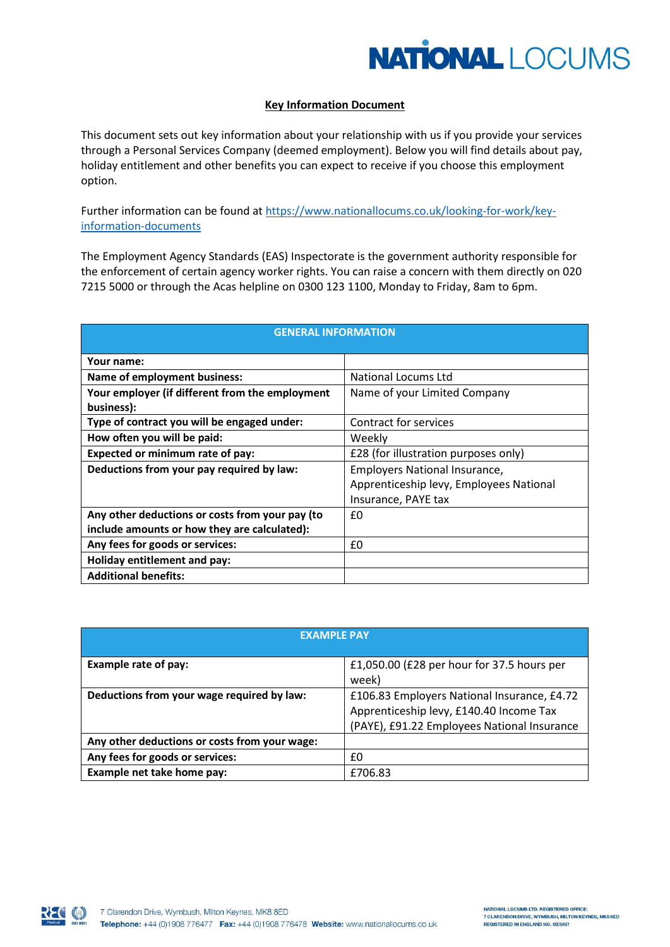

## **Key Information Document**

This document sets out key information about your relationship with us if you provide your services through a Personal Services Company (deemed employment). Below you will find details about pay, holiday entitlement and other benefits you can expect to receive if you choose this employment option.

Further information can be found at [https://www.nationallocums.co.uk/looking-for-work/key](https://www.nationallocums.co.uk/?page_id=15349&preview=true)[information-documents](https://www.nationallocums.co.uk/?page_id=15349&preview=true)

The Employment Agency Standards (EAS) Inspectorate is the government authority responsible for the enforcement of certain agency worker rights. You can raise a concern with them directly on 020 7215 5000 or through the Acas helpline on 0300 123 1100, Monday to Friday, 8am to 6pm.

| <b>GENERAL INFORMATION</b>                      |                                         |
|-------------------------------------------------|-----------------------------------------|
| Your name:                                      |                                         |
| Name of employment business:                    | National Locums Ltd                     |
| Your employer (if different from the employment | Name of your Limited Company            |
| business):                                      |                                         |
| Type of contract you will be engaged under:     | Contract for services                   |
| How often you will be paid:                     | Weekly                                  |
| Expected or minimum rate of pay:                | £28 (for illustration purposes only)    |
| Deductions from your pay required by law:       | Employers National Insurance,           |
|                                                 | Apprenticeship levy, Employees National |
|                                                 | Insurance, PAYE tax                     |
| Any other deductions or costs from your pay (to | £0                                      |
| include amounts or how they are calculated):    |                                         |
| Any fees for goods or services:                 | £0                                      |
| Holiday entitlement and pay:                    |                                         |
| <b>Additional benefits:</b>                     |                                         |

| <b>EXAMPLE PAY</b>                            |                                                                                                                                       |
|-----------------------------------------------|---------------------------------------------------------------------------------------------------------------------------------------|
| Example rate of pay:                          | £1,050.00 (£28 per hour for 37.5 hours per<br>week)                                                                                   |
| Deductions from your wage required by law:    | £106.83 Employers National Insurance, £4.72<br>Apprenticeship levy, £140.40 Income Tax<br>(PAYE), £91.22 Employees National Insurance |
| Any other deductions or costs from your wage: |                                                                                                                                       |
| Any fees for goods or services:               | £0                                                                                                                                    |
| Example net take home pay:                    | £706.83                                                                                                                               |